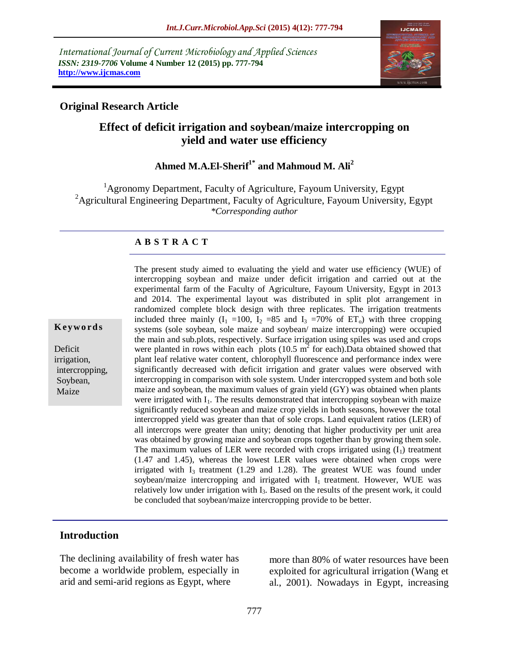*International Journal of Current Microbiology and Applied Sciences ISSN: 2319-7706* **Volume 4 Number 12 (2015) pp. 777-794 http://www.ijcmas.com** 



## **Original Research Article**

# **Effect of deficit irrigation and soybean/maize intercropping on yield and water use efficiency**

# **Ahmed M.A.El-Sherif1\* and Mahmoud M. Ali<sup>2</sup>**

 ${}^{1}$ Agronomy Department, Faculty of Agriculture, Fayoum University, Egypt <sup>2</sup> Agricultural Engineering Department, Faculty of Agriculture, Fayoum University, Egypt *\*Corresponding author*

### **A B S T R A C T**

#### **K ey w o rd s**

Deficit irrigation, intercropping, Soybean, Maize

The present study aimed to evaluating the yield and water use efficiency (WUE) of intercropping soybean and maize under deficit irrigation and carried out at the experimental farm of the Faculty of Agriculture, Fayoum University, Egypt in 2013 and 2014. The experimental layout was distributed in split plot arrangement in randomized complete block design with three replicates. The irrigation treatments included three mainly  $(I_1 = 100, I_2 = 85$  and  $I_3 = 70\%$  of  $ET_0$ ) with three cropping systems (sole soybean, sole maize and soybean/ maize intercropping) were occupied the main and sub.plots, respectively. Surface irrigation using spiles was used and crops were planted in rows within each plots  $(10.5 \text{ m}^2 \text{ for each})$ . Data obtained showed that plant leaf relative water content, chlorophyll fluorescence and performance index were significantly decreased with deficit irrigation and grater values were observed with intercropping in comparison with sole system. Under intercropped system and both sole maize and soybean, the maximum values of grain yield (GY) was obtained when plants were irrigated with I<sub>1</sub>. The results demonstrated that intercropping soybean with maize significantly reduced soybean and maize crop yields in both seasons, however the total intercropped yield was greater than that of sole crops. Land equivalent ratios (LER) of all intercrops were greater than unity; denoting that higher productivity per unit area was obtained by growing maize and soybean crops together than by growing them sole. The maximum values of LER were recorded with crops irrigated using  $(I_1)$  treatment (1.47 and 1.45), whereas the lowest LER values were obtained when crops were irrigated with  $I_3$  treatment (1.29 and 1.28). The greatest WUE was found under soybean/maize intercropping and irrigated with  $I_1$  treatment. However, WUE was relatively low under irrigation with I<sub>3</sub>. Based on the results of the present work, it could be concluded that soybean/maize intercropping provide to be better.

### **Introduction**

The declining availability of fresh water has become a worldwide problem, especially in arid and semi-arid regions as Egypt, where

more than 80% of water resources have been exploited for agricultural irrigation (Wang et al., 2001). Nowadays in Egypt, increasing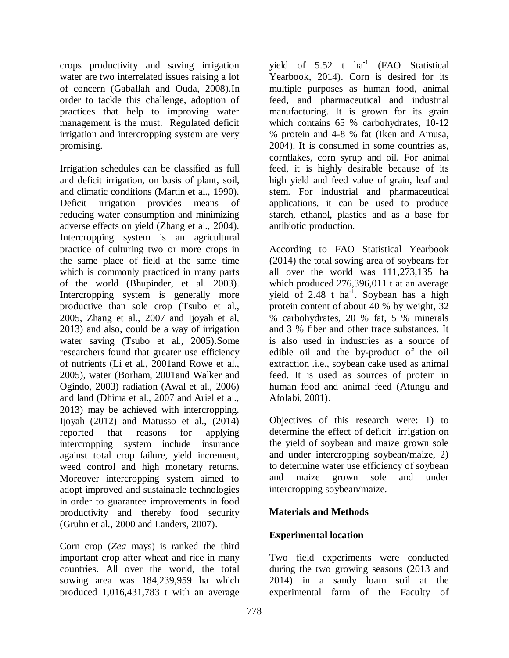crops productivity and saving irrigation water are two interrelated issues raising a lot of concern (Gaballah and Ouda, 2008).In order to tackle this challenge, adoption of practices that help to improving water management is the must. Regulated deficit irrigation and intercropping system are very promising.

Irrigation schedules can be classified as full and deficit irrigation, on basis of plant, soil, and climatic conditions (Martin et al., 1990). Deficit irrigation provides means of reducing water consumption and minimizing adverse effects on yield (Zhang et al., 2004). Intercropping system is an agricultural practice of culturing two or more crops in the same place of field at the same time which is commonly practiced in many parts of the world (Bhupinder, et al. 2003). Intercropping system is generally more productive than sole crop (Tsubo et al., 2005, Zhang et al., 2007 and Ijoyah et al, 2013) and also, could be a way of irrigation water saving (Tsubo et al., 2005).Some researchers found that greater use efficiency of nutrients (Li et al., 2001and Rowe et al., 2005), water (Borham, 2001and Walker and Ogindo, 2003) radiation (Awal et al., 2006) and land (Dhima et al., 2007 and Ariel et al., 2013) may be achieved with intercropping. Ijoyah (2012) and Matusso et al., (2014) reported that reasons for applying intercropping system include insurance against total crop failure, yield increment, weed control and high monetary returns. Moreover intercropping system aimed to adopt improved and sustainable technologies in order to guarantee improvements in food productivity and thereby food security (Gruhn et al., 2000 and Landers, 2007).

Corn crop (*Zea* mays) is ranked the third important crop after wheat and rice in many countries. All over the world, the total sowing area was 184,239,959 ha which produced 1,016,431,783 t with an average

yield of  $5.52$  t ha<sup>-1</sup> (FAO Statistical Yearbook, 2014). Corn is desired for its multiple purposes as human food, animal feed, and pharmaceutical and industrial manufacturing. It is grown for its grain which contains 65 % carbohydrates, 10-12 % protein and 4-8 % fat (Iken and Amusa, 2004). It is consumed in some countries as, cornflakes, corn syrup and oil. For animal feed, it is highly desirable because of its high yield and feed value of grain, leaf and stem. For industrial and pharmaceutical applications, it can be used to produce starch, ethanol, plastics and as a base for antibiotic production.

According to FAO Statistical Yearbook (2014) the total sowing area of soybeans for all over the world was 111,273,135 ha which produced 276,396,011 t at an average yield of 2.48  $t$  ha<sup>-1</sup>. Soybean has a high protein content of about 40 % by weight, 32 % carbohydrates, 20 % fat, 5 % minerals and 3 % fiber and other trace substances. It is also used in industries as a source of edible oil and the by-product of the oil extraction .i.e., soybean cake used as animal feed. It is used as sources of protein in human food and animal feed (Atungu and Afolabi, 2001).

Objectives of this research were: 1) to determine the effect of deficit irrigation on the yield of soybean and maize grown sole and under intercropping soybean/maize, 2) to determine water use efficiency of soybean and maize grown sole and under intercropping soybean/maize.

## **Materials and Methods**

### **Experimental location**

Two field experiments were conducted during the two growing seasons (2013 and 2014) in a sandy loam soil at the experimental farm of the Faculty of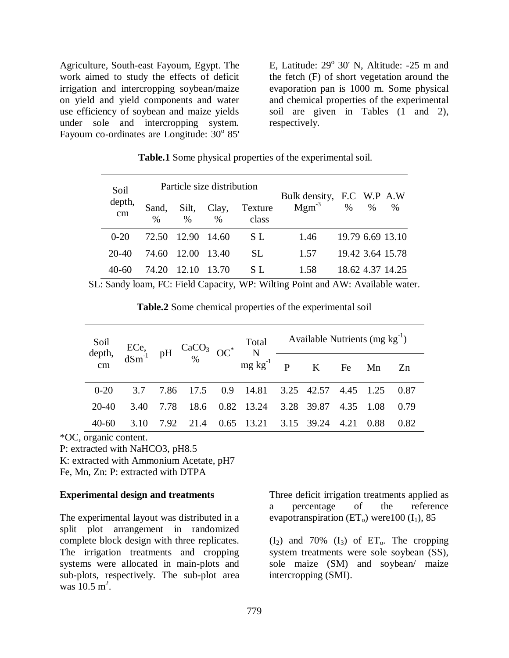Agriculture, South-east Fayoum, Egypt. The work aimed to study the effects of deficit irrigation and intercropping soybean/maize on yield and yield components and water use efficiency of soybean and maize yields under sole and intercropping system. Fayoum co-ordinates are Longitude:  $30^{\circ}$  85'

E, Latitude:  $29^{\circ}$  30' N, Altitude:  $-25$  m and the fetch (F) of short vegetation around the evaporation pan is 1000 m. Some physical and chemical properties of the experimental soil are given in Tables  $(1 \text{ and } 2)$ , respectively.

| Soil         |               | Particle size distribution |                        |                  | Bulk density, F.C W.P A.W |   |      |                  |  |
|--------------|---------------|----------------------------|------------------------|------------------|---------------------------|---|------|------------------|--|
| depth,<br>cm | Sand,<br>$\%$ | Silt,<br>$\frac{0}{0}$     | Clay,<br>$\frac{0}{0}$ | Texture<br>class | $Mgm^{-3}$                | % | $\%$ | $\%$             |  |
| $0 - 20$     | 72.50         | 12.90                      | 14.60                  | S L              | 1.46                      |   |      | 19.79 6.69 13.10 |  |
| 20-40        | 74.60         | 12.00                      | 13.40                  | SL.              | 1.57                      |   |      | 19.42 3.64 15.78 |  |
| 40-60        | 74.20         | 12.10                      | 13.70                  | S L              | 1.58                      |   |      | 18.62.4.37.14.25 |  |

**Table.1** Some physical properties of the experimental soil.

SL: Sandy loam, FC: Field Capacity, WP: Wilting Point and AW: Available water.

|       |      |  | Soil<br>depth, dSm <sup>-1</sup> pH $CaCO_3$ $OC^*$ $\overline{N}$ $\overline{C}$ available Nutrients (mg kg <sup>-1</sup> )<br>dSm <sup>-1</sup> pH $\frac{CaCO_3}{\%}$ $OC^*$ $\overline{N}$ $\overline{P}$ $\overline{K}$ Fe Mn Zn |  |           |  |
|-------|------|--|---------------------------------------------------------------------------------------------------------------------------------------------------------------------------------------------------------------------------------------|--|-----------|--|
|       |      |  |                                                                                                                                                                                                                                       |  |           |  |
|       |      |  | 0-20    3.7    7.86    17.5    0.9    14.81    3.25    42.57    4.45    1.25    0.87                                                                                                                                                  |  |           |  |
| 20-40 |      |  | 3.40 7.78 18.6 0.82 13.24 3.28 39.87 4.35 1.08 0.79                                                                                                                                                                                   |  |           |  |
| 40-60 | 3.10 |  | 7.92 21.4 0.65 13.21 3.15 39.24 4.21                                                                                                                                                                                                  |  | 0.88 0.82 |  |

\*OC, organic content.

P: extracted with NaHCO3, pH8.5

K: extracted with Ammonium Acetate, pH7

Fe, Mn, Zn: P: extracted with DTPA

### **Experimental design and treatments**

The experimental layout was distributed in a split plot arrangement in randomized complete block design with three replicates. The irrigation treatments and cropping systems were allocated in main-plots and sub-plots, respectively. The sub-plot area was  $10.5 \text{ m}^2$ .

Three deficit irrigation treatments applied as a percentage of the reference evapotranspiration  $(ET_0)$  were 100  $(I_1)$ , 85

 $(I_2)$  and 70%  $(I_3)$  of ET<sub>0</sub>. The cropping system treatments were sole soybean (SS), sole maize (SM) and soybean/ maize intercropping (SMI).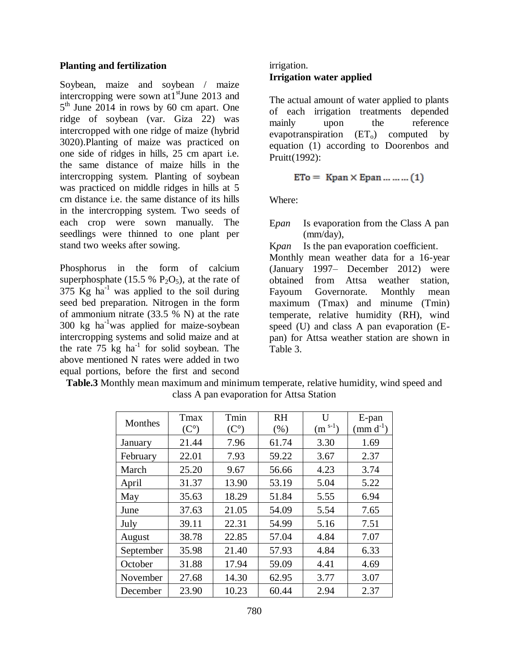#### **Planting and fertilization**

Soybean, maize and soybean / maize intercropping were sown at  $1<sup>st</sup>$  June 2013 and 5<sup>th</sup> June 2014 in rows by 60 cm apart. One ridge of soybean (var. Giza 22) was intercropped with one ridge of maize (hybrid 3020).Planting of maize was practiced on one side of ridges in hills, 25 cm apart i.e. the same distance of maize hills in the intercropping system. Planting of soybean was practiced on middle ridges in hills at 5 cm distance i.e. the same distance of its hills in the intercropping system. Two seeds of each crop were sown manually. The seedlings were thinned to one plant per stand two weeks after sowing.

Phosphorus in the form of calcium superphosphate (15.5 %  $P_2O_5$ ), at the rate of 375 Kg ha<sup>-1</sup> was applied to the soil during seed bed preparation. Nitrogen in the form of ammonium nitrate (33.5 % N) at the rate  $300 \text{ kg}$  ha<sup>-1</sup>was applied for maize-soybean intercropping systems and solid maize and at the rate  $75 \text{ kg}$  ha<sup>-1</sup> for solid soybean. The above mentioned N rates were added in two equal portions, before the first and second

### irrigation. **Irrigation water applied**

The actual amount of water applied to plants of each irrigation treatments depended mainly upon the reference evapotranspiration  $(ET_0)$  computed by equation (1) according to Doorenbos and Pruitt(1992):

$$
ETo = Kpan \times Epan \dots \dots \dots (1)
$$

Where:

E*pan* Is evaporation from the Class A pan (mm/day),

K*pan* Is the pan evaporation coefficient.

Monthly mean weather data for a 16-year (January 1997– December 2012) were obtained from Attsa weather station, Fayoum Governorate. Monthly mean maximum (Tmax) and minume (Tmin) temperate, relative humidity (RH), wind speed (U) and class A pan evaporation (Epan) for Attsa weather station are shown in Table 3.

| Monthes   | Tmax<br>$(C^{\circ})$ | Tmin<br>$(C^{\circ})$ | <b>RH</b><br>(% ) | $\mathbf{I}$<br>$(m^{s-1})$ | E-pan<br>$\text{mm} \, \text{d}^{-1}$ |
|-----------|-----------------------|-----------------------|-------------------|-----------------------------|---------------------------------------|
| January   | 21.44                 | 7.96                  | 61.74             | 3.30                        | 1.69                                  |
| February  | 22.01                 | 7.93                  | 59.22             | 3.67                        | 2.37                                  |
| March     | 25.20                 | 9.67                  | 56.66             | 4.23                        | 3.74                                  |
| April     | 31.37                 | 13.90                 | 53.19             | 5.04                        | 5.22                                  |
| May       | 35.63                 | 18.29                 | 51.84             | 5.55                        | 6.94                                  |
| June      | 37.63                 | 21.05                 | 54.09             | 5.54                        | 7.65                                  |
| July      | 39.11                 | 22.31                 | 54.99             | 5.16                        | 7.51                                  |
| August    | 38.78                 | 22.85                 | 57.04             | 4.84                        | 7.07                                  |
| September | 35.98                 | 21.40                 | 57.93             | 4.84                        | 6.33                                  |
| October   | 31.88                 | 17.94                 | 59.09             | 4.41                        | 4.69                                  |
| November  | 27.68                 | 14.30                 | 62.95             | 3.77                        | 3.07                                  |
| December  | 23.90                 | 10.23                 | 60.44             | 2.94                        | 2.37                                  |

|  |  |  | <b>Table.3</b> Monthly mean maximum and minimum temperate, relative humidity, wind speed and |  |  |  |
|--|--|--|----------------------------------------------------------------------------------------------|--|--|--|
|  |  |  | class A pan evaporation for Attsa Station                                                    |  |  |  |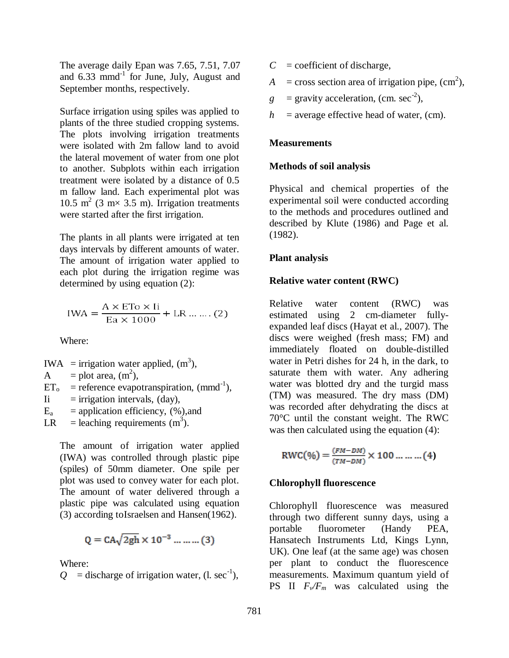The average daily Epan was 7.65, 7.51, 7.07 and  $6.33$  mmd<sup>-1</sup> for June, July, August and September months, respectively.

Surface irrigation using spiles was applied to plants of the three studied cropping systems. The plots involving irrigation treatments were isolated with 2m fallow land to avoid the lateral movement of water from one plot to another. Subplots within each irrigation treatment were isolated by a distance of 0.5 m fallow land. Each experimental plot was 10.5 m<sup>2</sup> (3 m× 3.5 m). Irrigation treatments were started after the first irrigation.

The plants in all plants were irrigated at ten days intervals by different amounts of water. The amount of irrigation water applied to each plot during the irrigation regime was determined by using equation (2):

$$
IWA = \frac{A \times ETo \times Ii}{Ea \times 1000} + LR \dots \dots (2)
$$

Where:

$$
IWA =
$$
irrigation water applied,  $(m3)$ ,

A = plot area,  $(m^2)$ ,

$$
ET_o = reference evaporation, (mmd-1),
$$

 $I$ i = irrigation intervals, (day),

 $E_a$  = application efficiency,  $(\%)$ , and

LR = leaching requirements  $(m^3)$ .

The amount of irrigation water applied (IWA) was controlled through plastic pipe (spiles) of 50mm diameter. One spile per plot was used to convey water for each plot. The amount of water delivered through a plastic pipe was calculated using equation (3) according toIsraelsen and Hansen(1962).

$$
Q = CA\sqrt{2gh} \times 10^{-3} \dots \dots \dots (3)
$$

Where:

 $Q =$  discharge of irrigation water, (l. sec<sup>-1</sup>),

- $C =$  coefficient of discharge,
- $A = \text{cross section area of, (cm}^2)$ ,
- $g =$  gravity acceleration, (cm. sec<sup>-2</sup>),
- $h$  = average effective head of water, (cm).

### **Measurements**

#### **Methods of soil analysis**

Physical and chemical properties of the experimental soil were conducted according to the methods and procedures outlined and described by Klute (1986) and Page et al. (1982).

#### **Plant analysis**

#### **Relative water content (RWC)**

Relative water content (RWC) was estimated using 2 cm-diameter fullyexpanded leaf discs (Hayat et al., 2007). The discs were weighed (fresh mass; FM) and immediately floated on double-distilled water in Petri dishes for 24 h, in the dark, to saturate them with water. Any adhering water was blotted dry and the turgid mass (TM) was measured. The dry mass (DM) was recorded after dehydrating the discs at 70°C until the constant weight. The RWC was then calculated using the equation (4):

$$
RWC(\%) = \frac{(FM - DM)}{(TM - DM)} \times 100 \dots \dots \dots (4)
$$

#### **Chlorophyll fluorescence**

Chlorophyll fluorescence was measured through two different sunny days, using a portable fluorometer (Handy PEA, Hansatech Instruments Ltd, Kings Lynn, UK). One leaf (at the same age) was chosen per plant to conduct the fluorescence measurements. Maximum quantum yield of **PS** II  $F_v/F_m$  was calculated using the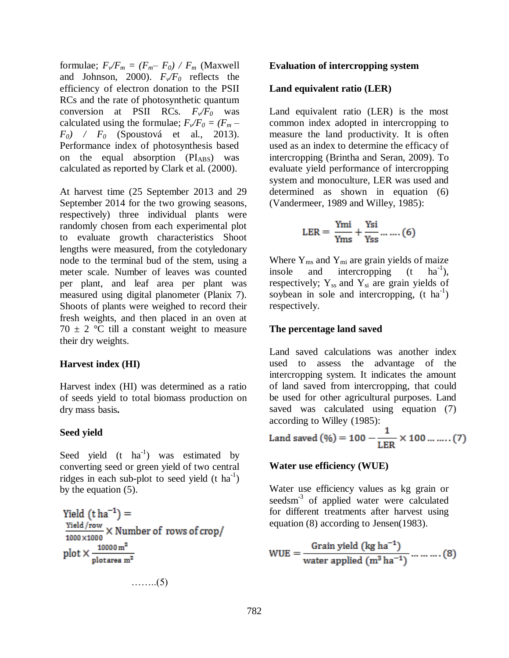formulae;  $F_v/F_m = (F_m - F_0) / F_m$  (Maxwell and Johnson, 2000).  $F_v/F_0$  reflects the efficiency of electron donation to the PSII RCs and the rate of photosynthetic quantum conversion at PSII RCs.  $F_v/F_0$  was calculated using the formulae;  $F_v/F_0 = (F_m -$ *F0) / F<sup>0</sup>* (Spoustová et al., 2013). Performance index of photosynthesis based on the equal absorption  $(PI_{ABS})$  was calculated as reported by Clark et al. (2000).

At harvest time (25 September 2013 and 29 September 2014 for the two growing seasons, respectively) three individual plants were randomly chosen from each experimental plot to evaluate growth characteristics Shoot lengths were measured, from the cotyledonary node to the terminal bud of the stem, using a meter scale. Number of leaves was counted per plant, and leaf area per plant was measured using digital planometer (Planix 7). Shoots of plants were weighed to record their fresh weights, and then placed in an oven at  $70 \pm 2$  °C till a constant weight to measure their dry weights.

### **Harvest index (HI)**

Harvest index (HI) was determined as a ratio of seeds yield to total biomass production on dry mass basis**.**

### **Seed yield**

Seed yield  $(t \text{ ha}^{-1})$  was estimated by converting seed or green yield of two central ridges in each sub-plot to seed yield  $(t \text{ ha}^{-1})$ by the equation (5).

$$
Yield (tha-1) =
$$
  
\n
$$
\frac{Yield/row}{1000 \times 1000} \times Number of rows of crop/
$$
  
\nplot  $\times \frac{10000 m^2}{plotarea m^2}$ ........(5)

**Evaluation of intercropping system**

#### **Land equivalent ratio (LER)**

Land equivalent ratio (LER) is the most common index adopted in intercropping to measure the land productivity. It is often used as an index to determine the efficacy of intercropping (Brintha and Seran, 2009). To evaluate yield performance of intercropping system and monoculture, LER was used and determined as shown in equation (6) (Vandermeer, 1989 and Willey, 1985):

$$
LER = \frac{Ymi}{Yms} + \frac{Ysi}{Yss} \dots \dots (6)
$$

Where  $Y_{\text{ms}}$  and  $Y_{\text{mi}}$  are grain yields of maize insole and intercropping  $(t \text{ ha}^{-1})$ , respectively;  $Y_{ss}$  and  $Y_{si}$  are grain yields of soybean in sole and intercropping,  $(t)$  ha<sup>-1</sup>) respectively.

#### **The percentage land saved**

Land saved calculations was another index used to assess the advantage of the intercropping system. It indicates the amount of land saved from intercropping, that could be used for other agricultural purposes. Land saved was calculated using equation (7) according to Willey (1985):

Land saved (%) = 
$$
100 - \frac{1}{LER} \times 100 \dots \dots (7)
$$

#### **Water use efficiency (WUE)**

Water use efficiency values as kg grain or seedsm<sup>-3</sup> of applied water were calculated for different treatments after harvest using equation (8) according to Jensen(1983).

$$
WUE = \frac{Grain yield (kg ha^{-1})}{water applied (m^3 ha^{-1})} \dots \dots \dots (8)
$$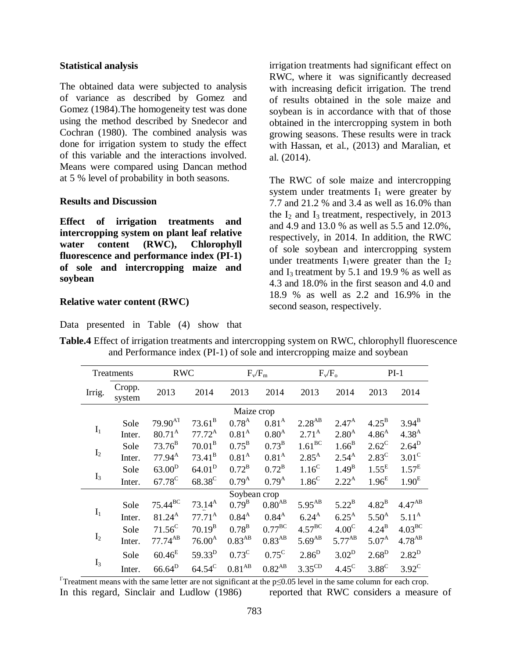#### **Statistical analysis**

The obtained data were subjected to analysis of variance as described by Gomez and Gomez (1984).The homogeneity test was done using the method described by Snedecor and Cochran (1980). The combined analysis was done for irrigation system to study the effect of this variable and the interactions involved. Means were compared using Dancan method at 5 % level of probability in both seasons.

#### **Results and Discussion**

**Effect of irrigation treatments and intercropping system on plant leaf relative water content (RWC), Chlorophyll fluorescence and performance index (PI-1) of sole and intercropping maize and soybean** 

Data presented in Table (4) show that

#### **Relative water content (RWC)**

irrigation treatments had significant effect on RWC, where it was significantly decreased with increasing deficit irrigation. The trend of results obtained in the sole maize and soybean is in accordance with that of those obtained in the intercropping system in both growing seasons. These results were in track with Hassan, et al., (2013) and Maralian, et al. (2014).

The RWC of sole maize and intercropping system under treatments  $I_1$  were greater by 7.7 and 21.2 % and 3.4 as well as 16.0% than the  $I_2$  and  $I_3$  treatment, respectively, in 2013 and 4.9 and 13.0 % as well as 5.5 and 12.0%, respectively, in 2014. In addition, the RWC of sole soybean and intercropping system under treatments  $I_1$ were greater than the  $I_2$ and  $I_3$  treatment by 5.1 and 19.9 % as well as 4.3 and 18.0% in the first season and 4.0 and 18.9 % as well as 2.2 and 16.9% in the second season, respectively.

| Treatments     |                  | <b>RWC</b>               |                    |                      | $F_v/F_m$            |                    | $F_v/F_o$           |                   | $PI-1$             |  |
|----------------|------------------|--------------------------|--------------------|----------------------|----------------------|--------------------|---------------------|-------------------|--------------------|--|
| Irrig.         | Cropp.<br>system | 2013                     | 2014               | 2013                 | 2014                 | 2013               | 2014                | 2013              | 2014               |  |
|                |                  |                          |                    | Maize crop           |                      |                    |                     |                   |                    |  |
|                | Sole             | $79.90^{A}$ <sup>T</sup> | $73.61^{\rm B}$    | $0.78^{A}$           | 0.81 <sup>A</sup>    | $2.28^{AB}$        | $2.47^{A}$          | $4.25^{\rm B}$    | $3.94^{B}$         |  |
| $\mathbf{I}_1$ | Inter.           | $80.71^{A}$              | $77.72^A$          | $0.81^{A}$           | $0.80^{A}$           | $2.71^{A}$         | $2.80^{A}$          | $4.86^{A}$        | $4.38^{A}$         |  |
|                | Sole             | $73.76^{\rm B}$          | $70.01^{\rm B}$    | $0.75^{\rm B}$       | $0.73^{\rm B}$       | $1.61^{BC}$        | $1.66^{B}$          | $2.62^{\circ}$    | $2.64^{\rm D}$     |  |
| I <sub>2</sub> | Inter.           | $77.94^{\rm A}$          | $73.41^{\rm B}$    | 0.81 <sup>A</sup>    | 0.81 <sup>A</sup>    | $2.85^{A}$         | $2.54^{A}$          | $2.83^{\circ}$    | $3.01^{\circ}$     |  |
|                | Sole             | $63.00^{\rm D}$          | $64.01^{\rm D}$    | $0.72^{\rm B}$       | $0.72^{\rm B}$       | 1.16 <sup>C</sup>  | $1.49^{B}$          | 1.55 <sup>E</sup> | 1.57 <sup>E</sup>  |  |
| $I_3$          | Inter.           | $67.78^{\circ}$          | 68.38 <sup>C</sup> | $0.79^{A}$           | $0.79^{A}$           | $1.86^{\circ}$     | $2.22^{A}$          | 1.96 <sup>E</sup> | 1.90 <sup>E</sup>  |  |
|                |                  |                          |                    | Soybean crop         |                      |                    |                     |                   |                    |  |
|                | Sole             | $75.44^{BC}$             | $73.14^{\rm A}$    | $0.79^{B}$           | $0.80^{AB}$          | $5.95^{AB}$        | $5.22^{\mathrm{B}}$ | $4.82^{B}$        | $4.47^{AB}$        |  |
| $\mathbf{I}_1$ | Inter.           | $81.24^{A}$              | $77.71^{\rm A}$    | $0.84^{A}$           | $0.84^{A}$           | $6.24^{A}$         | $6.25^{\text{A}}$   | $5.50^{A}$        | $5.11^{\rm A}$     |  |
|                | Sole             | $71.56^C$                | $70.19^{B}$        | $0.78^{\rm B}$       | $0.77^{\rm BC}$      | $4.57^{\text{BC}}$ | 4.00 <sup>C</sup>   | $4.24^{\rm B}$    | $4.03^{\text{BC}}$ |  |
| $I_2$          | Inter.           | $77.74^{AB}$             | $76.00^{\rm A}$    | $0.83^{\mathrm{AB}}$ | $0.83^{AB}$          | $5.69^{AB}$        | $5.77^{AB}$         | $5.07^{A}$        | $4.78^{AB}$        |  |
|                | Sole             | $60.46^{E}$              | $59.33^{D}$        | $0.73^{\circ}$       | $0.75^{\circ}$       | $2.86^{D}$         | $3.02^{\rm D}$      | $2.68^D$          | $2.82^{D}$         |  |
| $I_3$          | Inter.           | $66.64^{\rm D}$          | $64.54^{\circ}$    | $0.81^{\mathrm{AB}}$ | $0.82^{\mathrm{AB}}$ | $3.35^{\text{CD}}$ | $4.45^{\circ}$      | $3.88^{\circ}$    | $3.92^{\circ}$     |  |

**Table.4** Effect of irrigation treatments and intercropping system on RWC, chlorophyll fluorescence and Performance index (PI-1) of sole and intercropping maize and soybean

 $T$ Treatment means with the same letter are not significant at the p $\leq 0.05$  level in the same column for each crop. In this regard, Sinclair and Ludlow (1986) reported that RWC considers a measure of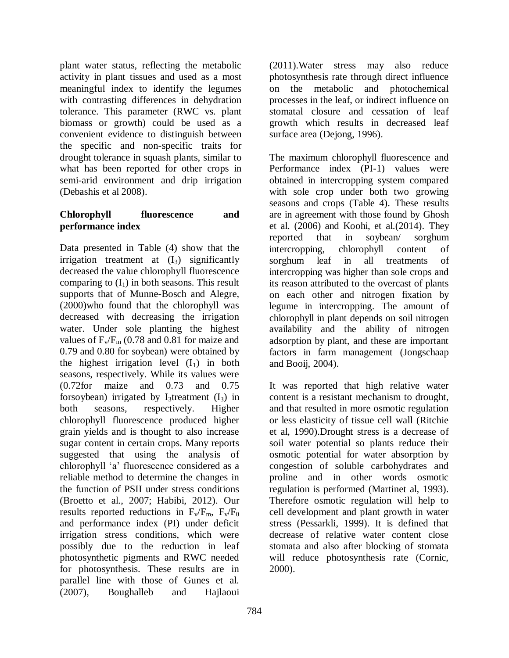plant water status, reflecting the metabolic activity in plant tissues and used as a most meaningful index to identify the legumes with contrasting differences in dehydration tolerance. This parameter (RWC vs. plant biomass or growth) could be used as a convenient evidence to distinguish between the specific and non-specific traits for drought tolerance in squash plants, similar to what has been reported for other crops in semi-arid environment and drip irrigation (Debashis et al 2008).

### **Chlorophyll fluorescence and performance index**

Data presented in Table (4) show that the irrigation treatment at  $(I_3)$  significantly decreased the value chlorophyll fluorescence comparing to  $(I_1)$  in both seasons. This result supports that of Munne-Bosch and Alegre, (2000)who found that the chlorophyll was decreased with decreasing the irrigation water. Under sole planting the highest values of  $F_v/F_m$  (0.78 and 0.81 for maize and 0.79 and 0.80 for soybean) were obtained by the highest irrigation level  $(I_1)$  in both seasons, respectively. While its values were (0.72for maize and 0.73 and 0.75 forsoybean) irrigated by I<sub>3</sub>treatment  $(I_3)$  in both seasons, respectively. Higher chlorophyll fluorescence produced higher grain yields and is thought to also increase sugar content in certain crops. Many reports suggested that using the analysis of chlorophyll 'a' fluorescence considered as a reliable method to determine the changes in the function of PSII under stress conditions (Broetto et al., 2007; Habibi, 2012). Our results reported reductions in  $F_v/F_m$ ,  $F_v/F_0$ and performance index (PI) under deficit irrigation stress conditions, which were possibly due to the reduction in leaf photosynthetic pigments and RWC needed for photosynthesis. These results are in parallel line with those of Gunes et al. (2007), Boughalleb and Hajlaoui

(2011).Water stress may also reduce photosynthesis rate through direct influence on the metabolic and photochemical processes in the leaf, or indirect influence on stomatal closure and cessation of leaf growth which results in decreased leaf surface area (Dejong, 1996).

The maximum chlorophyll fluorescence and Performance index (PI-1) values were obtained in intercropping system compared with sole crop under both two growing seasons and crops (Table 4). These results are in agreement with those found by Ghosh et al. (2006) and Koohi, et al.(2014). They reported that in soybean/ sorghum intercropping, chlorophyll content of sorghum leaf in all treatments of intercropping was higher than sole crops and its reason attributed to the overcast of plants on each other and nitrogen fixation by legume in intercropping. The amount of chlorophyll in plant depends on soil nitrogen availability and the ability of nitrogen adsorption by plant, and these are important factors in farm management (Jongschaap and Booij, 2004).

It was reported that high relative water content is a resistant mechanism to drought, and that resulted in more osmotic regulation or less elasticity of tissue cell wall (Ritchie et al, 1990).Drought stress is a decrease of soil water potential so plants reduce their osmotic potential for water absorption by congestion of soluble carbohydrates and proline and in other words osmotic regulation is performed (Martinet al, 1993). Therefore osmotic regulation will help to cell development and plant growth in water stress (Pessarkli, 1999). It is defined that decrease of relative water content close stomata and also after blocking of stomata will reduce photosynthesis rate (Cornic, 2000).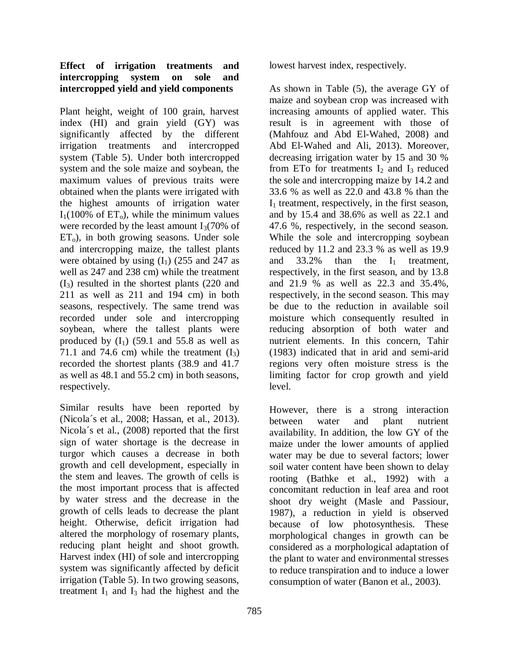### **Effect of irrigation treatments and intercropping system on sole and intercropped yield and yield components**

Plant height, weight of 100 grain, harvest index (HI) and grain yield (GY) was significantly affected by the different irrigation treatments and intercropped system (Table 5). Under both intercropped system and the sole maize and soybean, the maximum values of previous traits were obtained when the plants were irrigated with the highest amounts of irrigation water  $I_1(100\% \text{ of ET}_0)$ , while the minimum values were recorded by the least amount  $I_3(70\% \text{ of }$  $ET<sub>o</sub>$ ), in both growing seasons. Under sole and intercropping maize, the tallest plants were obtained by using  $(I_1)$  (255 and 247 as well as 247 and 238 cm) while the treatment  $(I<sub>3</sub>)$  resulted in the shortest plants (220 and 211 as well as 211 and 194 cm) in both seasons, respectively. The same trend was recorded under sole and intercropping soybean, where the tallest plants were produced by  $(I_1)$  (59.1 and 55.8 as well as 71.1 and 74.6 cm) while the treatment  $(I_3)$ recorded the shortest plants (38.9 and 41.7 as well as 48.1 and 55.2 cm) in both seasons, respectively.

Similar results have been reported by (Nicola´s et al., 2008; Hassan, et al., 2013). Nicola´s et al., (2008) reported that the first sign of water shortage is the decrease in turgor which causes a decrease in both growth and cell development, especially in the stem and leaves. The growth of cells is the most important process that is affected by water stress and the decrease in the growth of cells leads to decrease the plant height. Otherwise, deficit irrigation had altered the morphology of rosemary plants, reducing plant height and shoot growth. Harvest index (HI) of sole and intercropping system was significantly affected by deficit irrigation (Table 5). In two growing seasons, treatment  $I_1$  and  $I_3$  had the highest and the

lowest harvest index, respectively.

As shown in Table (5), the average GY of maize and soybean crop was increased with increasing amounts of applied water. This result is in agreement with those of (Mahfouz and Abd El-Wahed, 2008) and Abd El-Wahed and Ali, 2013). Moreover, decreasing irrigation water by 15 and 30 % from ETo for treatments  $I_2$  and  $I_3$  reduced the sole and intercropping maize by 14.2 and 33.6 % as well as 22.0 and 43.8 % than the  $I_1$  treatment, respectively, in the first season, and by 15.4 and 38.6% as well as 22.1 and 47.6 %, respectively, in the second season. While the sole and intercropping soybean reduced by 11.2 and 23.3 % as well as 19.9 and  $33.2\%$  than the  $I_1$  treatment, respectively, in the first season, and by 13.8 and 21.9 % as well as 22.3 and 35.4%, respectively, in the second season. This may be due to the reduction in available soil moisture which consequently resulted in reducing absorption of both water and nutrient elements. In this concern, Tahir (1983) indicated that in arid and semi-arid regions very often moisture stress is the limiting factor for crop growth and yield level.

However, there is a strong interaction between water and plant nutrient availability. In addition, the low GY of the maize under the lower amounts of applied water may be due to several factors; lower soil water content have been shown to delay rooting (Bathke et al., 1992) with a concomitant reduction in leaf area and root shoot dry weight (Masle and Passiour, 1987), a reduction in yield is observed because of low photosynthesis. These morphological changes in growth can be considered as a morphological adaptation of the plant to water and environmental stresses to reduce transpiration and to induce a lower consumption of water (Banon et al., 2003).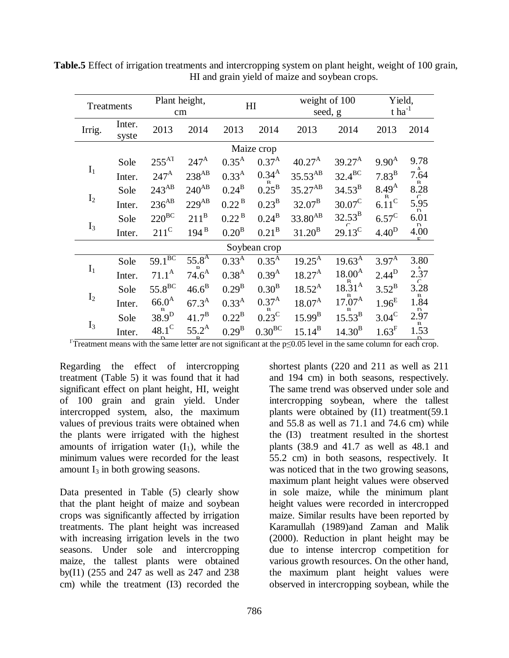| Treatments     |                 | Plant height,<br>cm    |                  | HI                |                   | weight of 100<br>seed, g |                      | Yield,<br>$t$ ha <sup>-1</sup> |                        |
|----------------|-----------------|------------------------|------------------|-------------------|-------------------|--------------------------|----------------------|--------------------------------|------------------------|
| Irrig.         | Inter.<br>syste | 2013                   | 2014             | 2013              | 2014              | 2013                     | 2014                 | 2013                           | 2014                   |
|                |                 |                        |                  |                   | Maize crop        |                          |                      |                                |                        |
|                | Sole            | $255^{\text{AI}}$      | $247^{\rm A}$    | $0.35^{A}$        | $0.37^{A}$        | $40.27^{\rm A}$          | $39.27^{\rm A}$      | $9.90^{A}$                     | 9.78                   |
| $I_1$          | Inter.          | $247^{\rm A}$          | $238^{AB}$       | $0.33^{A}$        | $0.34^{A}$        | $35.53^{AB}$             | $32.4^{\text{BC}}$   | $7.83^{\mathrm{B}}$            | Δ<br>7.64              |
|                | Sole            | $243^{AB}$             | $240^{AB}$       | $0.24^{\rm B}$    | $0.25^{\rm B}$    | $35.27^{AB}$             | $34.53^{B}$          | $8.49^{A}$                     | $8.28$                 |
| $I_2$          | Inter.          | $236^{\mathrm{AB}}$    | $229^{AB}$       | 0.22 <sup>B</sup> | $0.23^{\rm B}$    | $32.07^{\rm B}$          | $30.07^{\circ}$      | 6.11 <sup>C</sup>              | $5.95$<br><sub>D</sub> |
|                | Sole            | $220^{BC}$             | $211^B$          | 0.22 <sup>B</sup> | $0.24^{B}$        | $33.80^{AB}$             | $32.53^{\rm B}$      | $6.57^{\circ}$                 | 6.01<br>D              |
| $I_3$          | Inter.          | $211^{\circ}$          | $194^{\text{B}}$ | 0.20 <sup>B</sup> | 0.21 <sup>B</sup> | $31.20^{B}$              | $29.13^{\circ}$      | 4.40 <sup>D</sup>              | 4.00                   |
|                |                 |                        |                  |                   | Soybean crop      |                          |                      |                                |                        |
|                | Sole            | $59.1^{\overline{BC}}$ | $55.8^{A}$       | $0.33^{A}$        | $0.35^{A}$        | $19.25^{A}$              | $19.63^{A}$          | $3.97^{A}$                     | 3.80                   |
| $\mathbf{I}_1$ | Inter.          | $71.1^{\rm A}$         | $74.6^{\rm A}$   | 0.38 <sup>A</sup> | $0.39^{A}$        | $18.27^{\rm A}$          | $18.00^{A}$          | $2.44^{D}$                     | 2.37                   |
|                | Sole            | 55.8 <sup>BC</sup>     | $46.6^B$         | $0.29^{\rm B}$    | $0.30^{\rm B}$    | $18.52^{A}$              | $18.31^{A}$          | $3.52^{B}$                     | 3.28<br>P.             |
| I <sub>2</sub> | Inter.          | $66.0^{A}$             | $67.3^{\rm A}$   | $0.33^{A}$        | $0.37^{A}$        | $18.07^{\rm A}$          | $17.07^{\mathrm{h}}$ | 1.96 <sup>E</sup>              | 1.84                   |
|                | Sole            | $38.9^{D}$             | $41.7^{\rm B}$   | $0.22^{\rm B}$    | $0.23^{\rm C}$    | $15.99^{B}$              | $15.53^{\rm B}$      | $3.04^{\circ}$                 | 2.97                   |
| $I_3$          | Inter.          | $48.1^{\circ}$         | $55.2^{\rm A}$   | $0.29^{B}$        | $0.30^{BC}$       | $15.14^{B}$              | $14.30^{B}$          | $1.63^F$                       | 1.53                   |

**Table.5** Effect of irrigation treatments and intercropping system on plant height, weight of 100 grain, HI and grain yield of maize and soybean crops.

 $\Gamma$ Treatment means with the same letter are not significant at the p≤0.05 level in the same column for each crop.

Regarding the effect of intercropping treatment (Table 5) it was found that it had significant effect on plant height, HI, weight of 100 grain and grain yield. Under intercropped system, also, the maximum values of previous traits were obtained when the plants were irrigated with the highest amounts of irrigation water  $(I_1)$ , while the minimum values were recorded for the least amount  $I_3$  in both growing seasons.

Data presented in Table (5) clearly show that the plant height of maize and soybean crops was significantly affected by irrigation treatments. The plant height was increased with increasing irrigation levels in the two seasons. Under sole and intercropping maize, the tallest plants were obtained by(I1) (255 and 247 as well as 247 and 238 cm) while the treatment (I3) recorded the

shortest plants (220 and 211 as well as 211 and 194 cm) in both seasons, respectively. The same trend was observed under sole and intercropping soybean, where the tallest plants were obtained by (I1) treatment(59.1 and 55.8 as well as 71.1 and 74.6 cm) while the (I3) treatment resulted in the shortest plants (38.9 and 41.7 as well as 48.1 and 55.2 cm) in both seasons, respectively. It was noticed that in the two growing seasons, maximum plant height values were observed in sole maize, while the minimum plant height values were recorded in intercropped maize. Similar results have been reported by Karamullah (1989)and Zaman and Malik (2000). Reduction in plant height may be due to intense intercrop competition for various growth resources. On the other hand, the maximum plant height values were observed in intercropping soybean, while the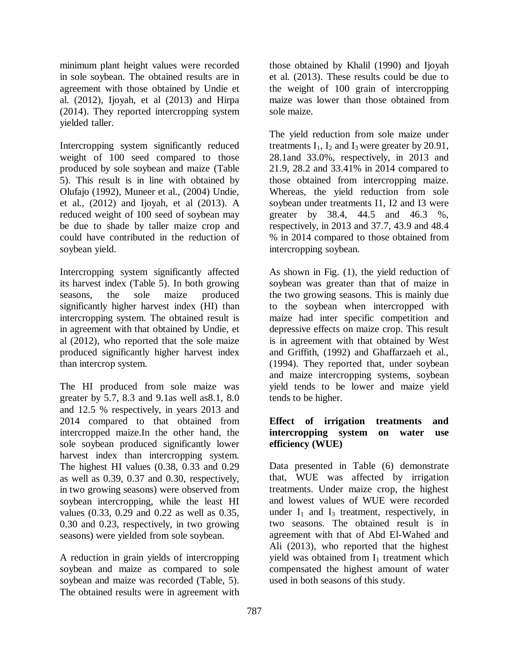minimum plant height values were recorded in sole soybean. The obtained results are in agreement with those obtained by Undie et al. (2012), Ijoyah, et al (2013) and Hirpa (2014). They reported intercropping system yielded taller.

Intercropping system significantly reduced weight of 100 seed compared to those produced by sole soybean and maize (Table 5). This result is in line with obtained by Olufajo (1992), Muneer et al., (2004) Undie, et al., (2012) and Ijoyah, et al (2013). A reduced weight of 100 seed of soybean may be due to shade by taller maize crop and could have contributed in the reduction of soybean yield.

Intercropping system significantly affected its harvest index (Table 5). In both growing seasons, the sole maize produced significantly higher harvest index (HI) than intercropping system. The obtained result is in agreement with that obtained by Undie, et al (2012), who reported that the sole maize produced significantly higher harvest index than intercrop system.

The HI produced from sole maize was greater by 5.7, 8.3 and 9.1as well as8.1, 8.0 and 12.5 % respectively, in years 2013 and 2014 compared to that obtained from intercropped maize.In the other hand, the sole soybean produced significantly lower harvest index than intercropping system. The highest HI values (0.38, 0.33 and 0.29 as well as 0.39, 0.37 and 0.30, respectively, in two growing seasons) were observed from soybean intercropping, while the least HI values (0.33, 0.29 and 0.22 as well as 0.35, 0.30 and 0.23, respectively, in two growing seasons) were yielded from sole soybean.

A reduction in grain yields of intercropping soybean and maize as compared to sole soybean and maize was recorded (Table, 5). The obtained results were in agreement with those obtained by Khalil (1990) and Ijoyah et al. (2013). These results could be due to the weight of 100 grain of intercropping maize was lower than those obtained from sole maize.

The yield reduction from sole maize under treatments  $I_1$ ,  $I_2$  and  $I_3$  were greater by 20.91, 28.1and 33.0%, respectively, in 2013 and 21.9, 28.2 and 33.41% in 2014 compared to those obtained from intercropping maize. Whereas, the yield reduction from sole soybean under treatments I1, I2 and I3 were greater by 38.4, 44.5 and 46.3 %, respectively, in 2013 and 37.7, 43.9 and 48.4 % in 2014 compared to those obtained from intercropping soybean.

As shown in Fig. (1), the yield reduction of soybean was greater than that of maize in the two growing seasons. This is mainly due to the soybean when intercropped with maize had inter specific competition and depressive effects on maize crop. This result is in agreement with that obtained by West and Griffith, (1992) and Ghaffarzaeh et al., (1994). They reported that, under soybean and maize intercropping systems, soybean yield tends to be lower and maize yield tends to be higher.

### **Effect of irrigation treatments and intercropping system on water use efficiency (WUE)**

Data presented in Table (6) demonstrate that, WUE was affected by irrigation treatments. Under maize crop, the highest and lowest values of WUE were recorded under  $I_1$  and  $I_3$  treatment, respectively, in two seasons. The obtained result is in agreement with that of Abd El-Wahed and Ali (2013), who reported that the highest yield was obtained from  $I_1$  treatment which compensated the highest amount of water used in both seasons of this study.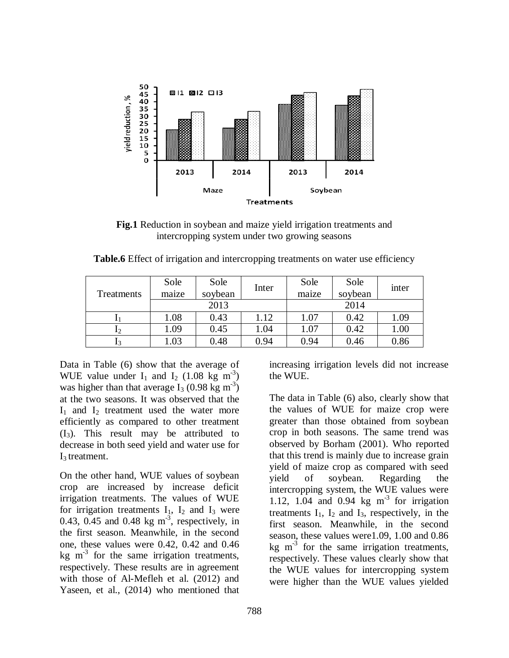

**Fig.1** Reduction in soybean and maize yield irrigation treatments and intercropping system under two growing seasons

| Treatments | Sole<br>Sole<br>Inter<br>soybean<br>maize |      |      | Sole<br>maize | Sole<br>soybean | inter |  |
|------------|-------------------------------------------|------|------|---------------|-----------------|-------|--|
|            |                                           | 2013 |      | 2014          |                 |       |  |
|            | 1.08                                      | 0.43 | 1.12 | 1.07          | 0.42            | 1.09  |  |
|            | 1.09                                      | 0.45 | 1.04 | 1.07          | 0.42            | 1.00  |  |
|            | 1.03                                      | 0.48 | 0.94 | 0.94          | 0.46            | 0.86  |  |

**Table.6** Effect of irrigation and intercropping treatments on water use efficiency

Data in Table (6) show that the average of WUE value under  $I_1$  and  $I_2$  (1.08 kg m<sup>-3</sup>) was higher than that average  $I_3$  (0.98 kg m<sup>-3</sup>) at the two seasons. It was observed that the  $I_1$  and  $I_2$  treatment used the water more efficiently as compared to other treatment  $(I_3)$ . This result may be attributed to decrease in both seed yield and water use for  $I_3$  treatment.

On the other hand, WUE values of soybean crop are increased by increase deficit irrigation treatments. The values of WUE for irrigation treatments  $I_1$ ,  $I_2$  and  $I_3$  were 0.43, 0.45 and 0.48 kg  $m<sup>3</sup>$ , respectively, in the first season. Meanwhile, in the second one, these values were 0.42, 0.42 and 0.46 kg  $m<sup>-3</sup>$  for the same irrigation treatments, respectively. These results are in agreement with those of Al-Mefleh et al. (2012) and Yaseen, et al., (2014) who mentioned that

increasing irrigation levels did not increase the WUE.

The data in Table (6) also, clearly show that the values of WUE for maize crop were greater than those obtained from soybean crop in both seasons. The same trend was observed by Borham (2001). Who reported that this trend is mainly due to increase grain yield of maize crop as compared with seed yield of soybean. Regarding the intercropping system, the WUE values were 1.12, 1.04 and 0.94 kg  $m<sup>3</sup>$  for irrigation treatments  $I_1$ ,  $I_2$  and  $I_3$ , respectively, in the first season. Meanwhile, in the second season, these values were1.09, 1.00 and 0.86 kg  $m^{-3}$  for the same irrigation treatments, respectively. These values clearly show that the WUE values for intercropping system were higher than the WUE values yielded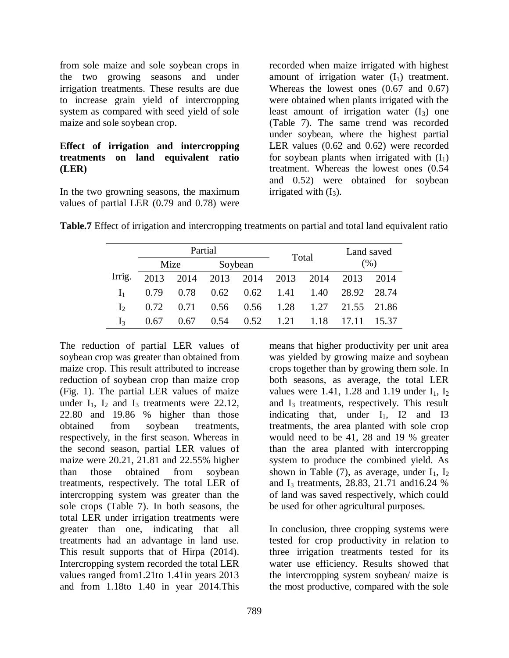from sole maize and sole soybean crops in the two growing seasons and under irrigation treatments. These results are due to increase grain yield of intercropping system as compared with seed yield of sole maize and sole soybean crop.

### **Effect of irrigation and intercropping treatments on land equivalent ratio (LER)**

In the two growning seasons, the maximum values of partial LER (0.79 and 0.78) were

recorded when maize irrigated with highest amount of irrigation water  $(I_1)$  treatment. Whereas the lowest ones (0.67 and 0.67) were obtained when plants irrigated with the least amount of irrigation water  $(I_3)$  one (Table 7). The same trend was recorded under soybean, where the highest partial LER values (0.62 and 0.62) were recorded for soybean plants when irrigated with  $(I_1)$ treatment. Whereas the lowest ones (0.54 and 0.52) were obtained for soybean irrigated with  $(I_3)$ .

|  |  |  |  | Table.7 Effect of irrigation and intercropping treatments on partial and total land equivalent ratio |
|--|--|--|--|------------------------------------------------------------------------------------------------------|
|--|--|--|--|------------------------------------------------------------------------------------------------------|

|                |      |      | Partial |                          |       | Land saved<br>(% ) |                                 |  |
|----------------|------|------|---------|--------------------------|-------|--------------------|---------------------------------|--|
|                |      | Mize |         | Soybean                  | Total |                    |                                 |  |
| Irrig.         | 2013 |      |         | 2014 2013 2014 2013 2014 |       |                    | 2013 2014                       |  |
|                | 0.79 | 0.78 |         |                          |       |                    | 0.62 0.62 1.41 1.40 28.92 28.74 |  |
| $\mathbf{I}$   | 0.72 | 0.71 |         |                          |       |                    | 0.56 0.56 1.28 1.27 21.55 21.86 |  |
| $\mathbf{I}_2$ | 0.67 | 0.67 | 0.54    | $0.52$ 1.21              |       |                    | 1.18 17.11 15.37                |  |

The reduction of partial LER values of soybean crop was greater than obtained from maize crop. This result attributed to increase reduction of soybean crop than maize crop (Fig. 1). The partial LER values of maize under  $I_1$ ,  $I_2$  and  $I_3$  treatments were 22.12, 22.80 and 19.86 % higher than those obtained from soybean treatments, respectively, in the first season. Whereas in the second season, partial LER values of maize were 20.21, 21.81 and 22.55% higher than those obtained from soybean treatments, respectively. The total LER of intercropping system was greater than the sole crops (Table 7). In both seasons, the total LER under irrigation treatments were greater than one, indicating that all treatments had an advantage in land use. This result supports that of Hirpa (2014). Intercropping system recorded the total LER values ranged from1.21to 1.41in years 2013 and from 1.18to 1.40 in year 2014.This

means that higher productivity per unit area was yielded by growing maize and soybean crops together than by growing them sole. In both seasons, as average, the total LER values were 1.41, 1.28 and 1.19 under  $I_1$ ,  $I_2$ and  $I_3$  treatments, respectively. This result indicating that, under  $I_1$ ,  $I_2$  and  $I_3$ treatments, the area planted with sole crop would need to be 41, 28 and 19 % greater than the area planted with intercropping system to produce the combined yield. As shown in Table (7), as average, under  $I_1$ ,  $I_2$ and I<sub>3</sub> treatments, 28.83, 21.71 and 16.24 % of land was saved respectively, which could be used for other agricultural purposes.

In conclusion, three cropping systems were tested for crop productivity in relation to three irrigation treatments tested for its water use efficiency. Results showed that the intercropping system soybean/ maize is the most productive, compared with the sole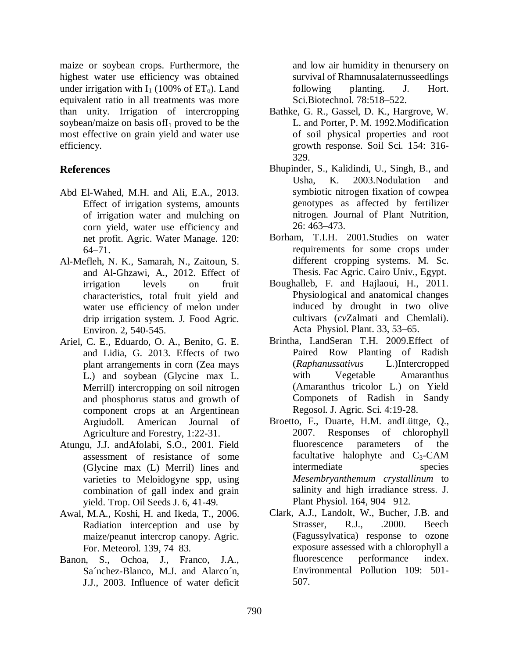maize or soybean crops. Furthermore, the highest water use efficiency was obtained under irrigation with  $I_1$  (100% of  $ET_0$ ). Land equivalent ratio in all treatments was more than unity. Irrigation of intercropping soybean/maize on basis of  $I_1$  proved to be the most effective on grain yield and water use efficiency.

## **References**

- Abd El-Wahed, M.H. and Ali, E.A., 2013. Effect of irrigation systems, amounts of irrigation water and mulching on corn yield, water use efficiency and net profit. Agric. Water Manage. 120: 64–71.
- Al-Mefleh, N. K., Samarah, N., Zaitoun, S. and Al-Ghzawi, A., 2012. Effect of irrigation levels on fruit characteristics, total fruit yield and water use efficiency of melon under drip irrigation system. J. Food Agric. Environ. 2, 540-545.
- Ariel, C. E., Eduardo, O. A., Benito, G. E. and Lidia, G. 2013. Effects of two plant arrangements in corn (Zea mays L.) and soybean (Glycine max L. Merrill) intercropping on soil nitrogen and phosphorus status and growth of component crops at an Argentinean Argiudoll. American Journal of Agriculture and Forestry, 1:22-31.
- Atungu, J.J. andAfolabi, S.O., 2001. Field assessment of resistance of some (Glycine max (L) Merril) lines and varieties to Meloidogyne spp, using combination of gall index and grain yield. Trop. Oil Seeds J. 6, 41-49.
- Awal, M.A., Koshi, H. and Ikeda, T., 2006. Radiation interception and use by maize/peanut intercrop canopy. Agric. For. Meteorol. 139, 74–83.
- Banon, S., Ochoa, J., Franco, J.A., Sa´nchez-Blanco, M.J. and Alarco´n, J.J., 2003. Influence of water deficit

and low air humidity in thenursery on survival of Rhamnusalaternusseedlings following planting. J. Hort. Sci.Biotechnol. 78:518–522.

- Bathke, G. R., Gassel, D. K., Hargrove, W. L. and Porter, P. M. 1992.Modification of soil physical properties and root growth response. Soil Sci. 154: 316- 329.
- Bhupinder, S., Kalidindi, U., Singh, B., and Usha, K. 2003.Nodulation and symbiotic nitrogen fixation of cowpea genotypes as affected by fertilizer nitrogen. Journal of Plant Nutrition, 26: 463–473.
- Borham, T.I.H. 2001.Studies on water requirements for some crops under different cropping systems. M. Sc. Thesis. Fac Agric. Cairo Univ., Egypt.
- Boughalleb, F. and Hajlaoui, H., 2011. Physiological and anatomical changes induced by drought in two olive cultivars (*cv*Zalmati and Chemlali). Acta Physiol. Plant. 33, 53–65.
- Brintha, I.andSeran T.H. 2009.Effect of Paired Row Planting of Radish (*Raphanussativus* L.)Intercropped with Vegetable Amaranthus (Amaranthus tricolor L.) on Yield Componets of Radish in Sandy Regosol. J. Agric. Sci. 4:19-28.
- Broetto, F., Duarte, H.M. andLüttge, Q., 2007. Responses of chlorophyll fluorescence parameters of the facultative halophyte and  $C_3$ -CAM intermediate species *Mesembryanthemum crystallinum* to salinity and high irradiance stress. J. Plant Physiol. 164, 904 –912.
- Clark, A.J., Landolt, W., Bucher, J.B. and Strasser, R.J., .2000. Beech (Fagussylvatica) response to ozone exposure assessed with a chlorophyll a fluorescence performance index. Environmental Pollution 109: 501- 507.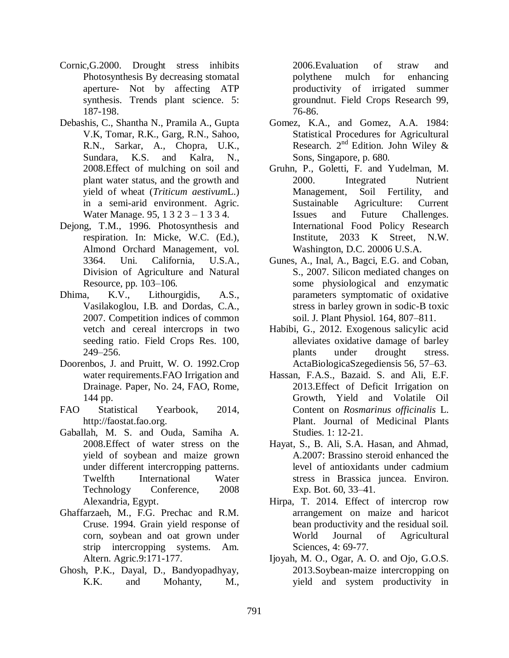- Cornic,G.2000. Drought stress inhibits Photosynthesis By decreasing stomatal aperture- Not by affecting ATP synthesis. Trends plant science. 5: 187-198.
- Debashis, C., Shantha N., Pramila A., Gupta V.K, Tomar, R.K., Garg, R.N., Sahoo, R.N., Sarkar, A., Chopra, U.K., Sundara, K.S. and Kalra, N., 2008.Effect of mulching on soil and plant water status, and the growth and yield of wheat (*Triticum aestivum*L.) in a semi-arid environment. Agric. Water Manage. 95, 1 3 2 3 – 1 3 3 4.
- Dejong, T.M., 1996. Photosynthesis and respiration. In: Micke, W.C. (Ed.), Almond Orchard Management, vol. 3364. Uni. California, U.S.A., Division of Agriculture and Natural Resource, pp. 103–106.
- Dhima, K.V., Lithourgidis, A.S., Vasilakoglou, I.B. and Dordas, C.A., 2007. Competition indices of common vetch and cereal intercrops in two seeding ratio. Field Crops Res. 100, 249–256.
- Doorenbos, J. and Pruitt, W. O. 1992.Crop water requirements.FAO Irrigation and Drainage. Paper, No. 24, FAO, Rome, 144 pp.
- FAO Statistical Yearbook, 2014, http://faostat.fao.org.
- Gaballah, M. S. and Ouda, Samiha A. 2008.Effect of water stress on the yield of soybean and maize grown under different intercropping patterns. Twelfth International Water Technology Conference, 2008 Alexandria, Egypt.
- Ghaffarzaeh, M., F.G. Prechac and R.M. Cruse. 1994. Grain yield response of corn, soybean and oat grown under strip intercropping systems. Am. Altern. Agric.9:171-177.
- Ghosh, P.K., Dayal, D., Bandyopadhyay, K.K. and Mohanty, M.,

2006.Evaluation of straw and polythene mulch for enhancing productivity of irrigated summer groundnut. Field Crops Research 99, 76-86.

- Gomez, K.A., and Gomez, A.A. 1984: Statistical Procedures for Agricultural Research.  $2^{nd}$  Edition. John Wiley & Sons, Singapore, p. 680.
- Gruhn, P., Goletti, F. and Yudelman, M. 2000. Integrated Nutrient Management, Soil Fertility, and Sustainable Agriculture: Current Issues and Future Challenges. International Food Policy Research Institute, 2033 K Street, N.W. Washington, D.C. 20006 U.S.A.
- Gunes, A., Inal, A., Bagci, E.G. and Coban, S., 2007. Silicon mediated changes on some physiological and enzymatic parameters symptomatic of oxidative stress in barley grown in sodic-B toxic soil. J. Plant Physiol. 164, 807–811.
- Habibi, G., 2012. Exogenous salicylic acid alleviates oxidative damage of barley plants under drought stress. ActaBiologicaSzegediensis 56, 57–63.
- Hassan, F.A.S., Bazaid. S. and Ali, E.F. 2013.Effect of Deficit Irrigation on Growth, Yield and Volatile Oil Content on *Rosmarinus officinalis* L. Plant. Journal of Medicinal Plants Studies. 1: 12-21.
- Hayat, S., B. Ali, S.A. Hasan, and Ahmad, A.2007: Brassino steroid enhanced the level of antioxidants under cadmium stress in Brassica juncea. Environ. Exp. Bot. 60, 33–41.
- Hirpa, T. 2014. Effect of intercrop row arrangement on maize and haricot bean productivity and the residual soil. World Journal of Agricultural Sciences, 4: 69-77.
- Ijoyah, M. O., Ogar, A. O. and Ojo, G.O.S. 2013.Soybean-maize intercropping on yield and system productivity in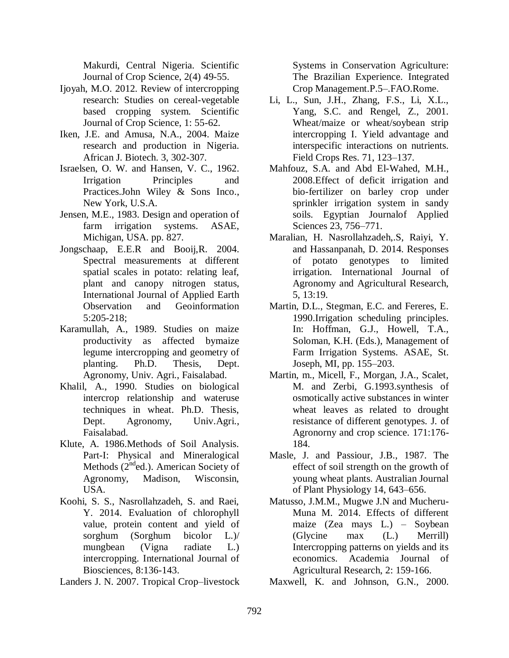Makurdi, Central Nigeria. Scientific Journal of Crop Science, 2(4) 49-55.

- Ijoyah, M.O. 2012. Review of intercropping research: Studies on cereal-vegetable based cropping system. Scientific Journal of Crop Science, 1: 55-62.
- Iken, J.E. and Amusa, N.A., 2004. Maize research and production in Nigeria. African J. Biotech. 3, 302-307.
- Israelsen, O. W. and Hansen, V. C., 1962. Irrigation Principles and Practices.John Wiley & Sons Inco., New York, U.S.A.
- Jensen, M.E., 1983. Design and operation of farm irrigation systems. ASAE, Michigan, USA. pp. 827.
- Jongschaap, E.E.R and Booij,R. 2004. Spectral measurements at different spatial scales in potato: relating leaf, plant and canopy nitrogen status, International Journal of Applied Earth Observation and Geoinformation 5:205-218;
- Karamullah, A., 1989. Studies on maize productivity as affected bymaize legume intercropping and geometry of planting. Ph.D. Thesis, Dept. Agronomy, Univ. Agri., Faisalabad.
- Khalil, A., 1990. Studies on biological intercrop relationship and wateruse techniques in wheat. Ph.D. Thesis, Dept. Agronomy, Univ.Agri., Faisalabad.
- Klute, A. 1986.Methods of Soil Analysis. Part-I: Physical and Mineralogical Methods (2<sup>nd</sup>ed.). American Society of Agronomy, Madison, Wisconsin, USA.
- Koohi, S. S., Nasrollahzadeh, S. and Raei, Y. 2014. Evaluation of chlorophyll value, protein content and yield of sorghum (Sorghum bicolor L.)/ mungbean (Vigna radiate L.) intercropping. International Journal of Biosciences, 8:136-143.
- Landers J. N. 2007. Tropical Crop–livestock

Systems in Conservation Agriculture: The Brazilian Experience. Integrated Crop Management.P.5–.FAO.Rome.

- Li, L., Sun, J.H., Zhang, F.S., Li, X.L., Yang, S.C. and Rengel, Z., 2001. Wheat/maize or wheat/soybean strip intercropping I. Yield advantage and interspecific interactions on nutrients. Field Crops Res. 71, 123–137.
- Mahfouz, S.A. and Abd El-Wahed, M.H., 2008.Effect of deficit irrigation and bio-fertilizer on barley crop under sprinkler irrigation system in sandy soils. Egyptian Journalof Applied Sciences 23, 756–771.
- Maralian, H. Nasrollahzadeh,.S, Raiyi, Y. and Hassanpanah, D. 2014. Responses of potato genotypes to limited irrigation. International Journal of Agronomy and Agricultural Research, 5, 13:19.
- Martin, D.L., Stegman, E.C. and Fereres, E. 1990.Irrigation scheduling principles. In: Hoffman, G.J., Howell, T.A., Soloman, K.H. (Eds.), Management of Farm Irrigation Systems. ASAE, St. Joseph, MI, pp. 155–203.
- Martin, m., Micell, F., Morgan, J.A., Scalet, M. and Zerbi, G.1993.synthesis of osmotically active substances in winter wheat leaves as related to drought resistance of different genotypes. J. of Agronorny and crop science. 171:176- 184.
- Masle, J. and Passiour, J.B., 1987. The effect of soil strength on the growth of young wheat plants. Australian Journal of Plant Physiology 14, 643–656.
- Matusso, J.M.M., Mugwe J.N and Mucheru-Muna M. 2014. Effects of different maize (Zea mays L.) – Soybean (Glycine max (L.) Merrill) Intercropping patterns on yields and its economics. Academia Journal of Agricultural Research, 2: 159-166.

Maxwell, K. and Johnson, G.N., 2000.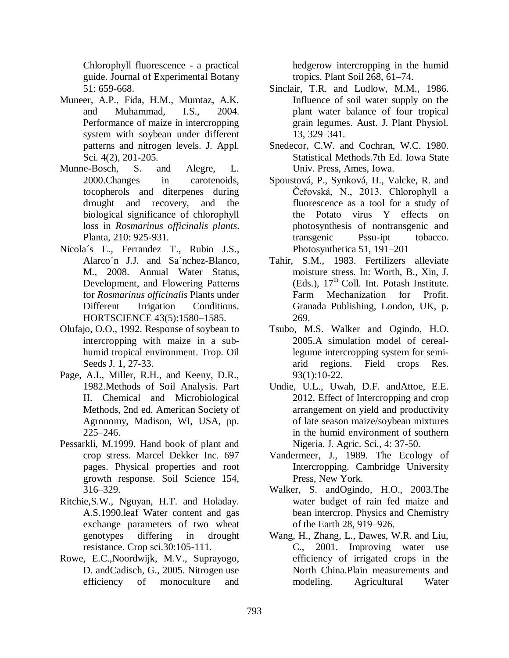Chlorophyll fluorescence - a practical guide. Journal of Experimental Botany 51: 659-668.

- Muneer, A.P., Fida, H.M., Mumtaz, A.K. and Muhammad, I.S., 2004. Performance of maize in intercropping system with soybean under different patterns and nitrogen levels. J. Appl. Sci. 4(2), 201-205.
- Munne-Bosch, S. and Alegre, L. 2000.Changes in carotenoids, tocopherols and diterpenes during drought and recovery, and the biological significance of chlorophyll loss in *Rosmarinus officinalis plants*. Planta, 210: 925-931.
- Nicola´s E., Ferrandez T., Rubio J.S., Alarco´n J.J. and Sa´nchez-Blanco, M., 2008. Annual Water Status, Development, and Flowering Patterns for *Rosmarinus officinalis* Plants under Different Irrigation Conditions. HORTSCIENCE 43(5):1580–1585.
- Olufajo, O.O., 1992. Response of soybean to intercropping with maize in a subhumid tropical environment. Trop. Oil Seeds J. 1, 27-33.
- Page, A.I., Miller, R.H., and Keeny, D.R., 1982.Methods of Soil Analysis. Part II. Chemical and Microbiological Methods, 2nd ed. American Society of Agronomy, Madison, WI, USA, pp. 225–246.
- Pessarkli, M.1999. Hand book of plant and crop stress. Marcel Dekker Inc. 697 pages. Physical properties and root growth response. Soil Science 154, 316–329.
- Ritchie,S.W., Nguyan, H.T. and Holaday. A.S.1990.leaf Water content and gas exchange parameters of two wheat genotypes differing in drought resistance. Crop sci.30:105-111.
- Rowe, E.C.,Noordwijk, M.V., Suprayogo, D. andCadisch, G., 2005. Nitrogen use efficiency of monoculture and

hedgerow intercropping in the humid tropics. Plant Soil 268, 61–74.

- Sinclair, T.R. and Ludlow, M.M., 1986. Influence of soil water supply on the plant water balance of four tropical grain legumes. Aust. J. Plant Physiol. 13, 329–341.
- Snedecor, C.W. and Cochran, W.C. 1980. Statistical Methods.7th Ed. Iowa State Univ. Press, Ames, Iowa.
- Spoustová, P., Synková, H., Valcke, R. and Čeřovská, N., 2013. Chlorophyll a fluorescence as a tool for a study of the Potato virus Y effects on photosynthesis of nontransgenic and transgenic Pssu-ipt tobacco. Photosynthetica 51, 191–201
- Tahir, S.M., 1983. Fertilizers alleviate moisture stress. In: Worth, B., Xin, J. (Eds.),  $17<sup>th</sup>$  Coll. Int. Potash Institute. Farm Mechanization for Profit. Granada Publishing, London, UK, p. 269.
- Tsubo, M.S. Walker and Ogindo, H.O. 2005.A simulation model of cereallegume intercropping system for semiarid regions. Field crops Res. 93(1):10-22.
- Undie, U.L., Uwah, D.F. andAttoe, E.E. 2012. Effect of Intercropping and crop arrangement on yield and productivity of late season maize/soybean mixtures in the humid environment of southern Nigeria. J. Agric. Sci., 4: 37-50.
- Vandermeer, J., 1989. The Ecology of Intercropping. Cambridge University Press, New York.
- Walker, S. andOgindo, H.O., 2003.The water budget of rain fed maize and bean intercrop. Physics and Chemistry of the Earth 28, 919–926.
- Wang, H., Zhang, L., Dawes, W.R. and Liu, C., 2001. Improving water use efficiency of irrigated crops in the North China.Plain measurements and modeling. Agricultural Water